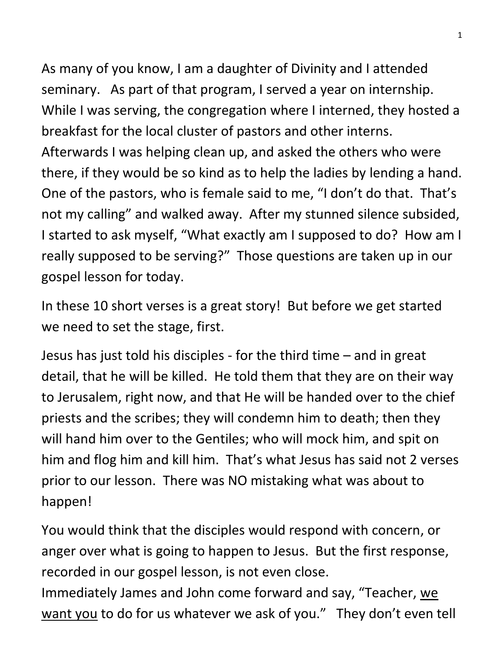As many of you know, I am a daughter of Divinity and I attended seminary. As part of that program, I served a year on internship. While I was serving, the congregation where I interned, they hosted a breakfast for the local cluster of pastors and other interns. Afterwards I was helping clean up, and asked the others who were there, if they would be so kind as to help the ladies by lending a hand. One of the pastors, who is female said to me, "I don't do that. That's not my calling" and walked away. After my stunned silence subsided, I started to ask myself, "What exactly am I supposed to do? How am I really supposed to be serving?" Those questions are taken up in our gospel lesson for today.

In these 10 short verses is a great story! But before we get started we need to set the stage, first.

Jesus has just told his disciples - for the third time – and in great detail, that he will be killed. He told them that they are on their way to Jerusalem, right now, and that He will be handed over to the chief priests and the scribes; they will condemn him to death; then they will hand him over to the Gentiles; who will mock him, and spit on him and flog him and kill him. That's what Jesus has said not 2 verses prior to our lesson. There was NO mistaking what was about to happen!

You would think that the disciples would respond with concern, or anger over what is going to happen to Jesus. But the first response, recorded in our gospel lesson, is not even close.

Immediately James and John come forward and say, "Teacher, we want you to do for us whatever we ask of you." They don't even tell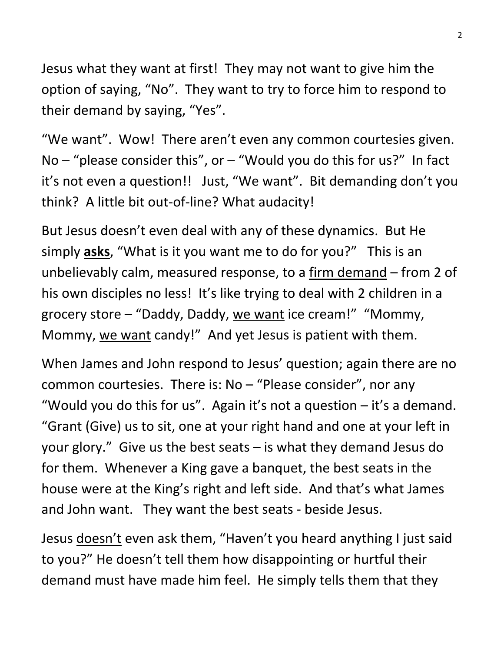Jesus what they want at first! They may not want to give him the option of saying, "No". They want to try to force him to respond to their demand by saying, "Yes".

"We want". Wow! There aren't even any common courtesies given. No – "please consider this", or – "Would you do this for us?" In fact it's not even a question!! Just, "We want". Bit demanding don't you think? A little bit out-of-line? What audacity!

But Jesus doesn't even deal with any of these dynamics. But He simply **asks**, "What is it you want me to do for you?" This is an unbelievably calm, measured response, to a firm demand – from 2 of his own disciples no less! It's like trying to deal with 2 children in a grocery store – "Daddy, Daddy, we want ice cream!" "Mommy, Mommy, we want candy!" And yet Jesus is patient with them.

When James and John respond to Jesus' question; again there are no common courtesies. There is: No – "Please consider", nor any "Would you do this for us". Again it's not a question – it's a demand. "Grant (Give) us to sit, one at your right hand and one at your left in your glory." Give us the best seats – is what they demand Jesus do for them. Whenever a King gave a banquet, the best seats in the house were at the King's right and left side. And that's what James and John want. They want the best seats - beside Jesus.

Jesus doesn't even ask them, "Haven't you heard anything I just said to you?" He doesn't tell them how disappointing or hurtful their demand must have made him feel. He simply tells them that they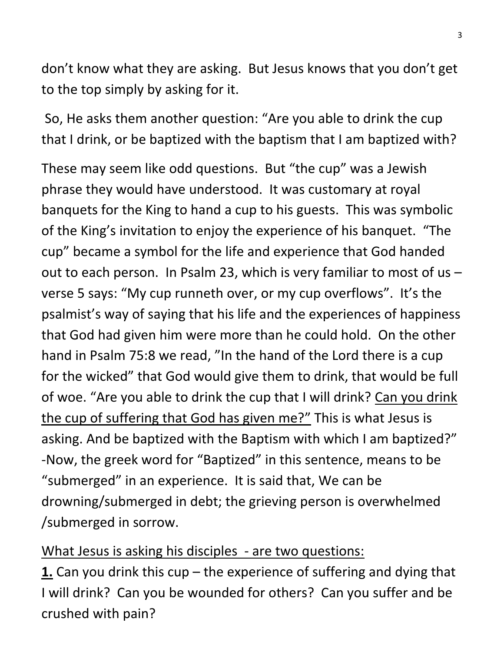don't know what they are asking. But Jesus knows that you don't get to the top simply by asking for it.

So, He asks them another question: "Are you able to drink the cup that I drink, or be baptized with the baptism that I am baptized with?

These may seem like odd questions. But "the cup" was a Jewish phrase they would have understood. It was customary at royal banquets for the King to hand a cup to his guests. This was symbolic of the King's invitation to enjoy the experience of his banquet. "The cup" became a symbol for the life and experience that God handed out to each person. In Psalm 23, which is very familiar to most of us – verse 5 says: "My cup runneth over, or my cup overflows". It's the psalmist's way of saying that his life and the experiences of happiness that God had given him were more than he could hold. On the other hand in Psalm 75:8 we read, "In the hand of the Lord there is a cup for the wicked" that God would give them to drink, that would be full of woe. "Are you able to drink the cup that I will drink? Can you drink the cup of suffering that God has given me?" This is what Jesus is asking. And be baptized with the Baptism with which I am baptized?" -Now, the greek word for "Baptized" in this sentence, means to be "submerged" in an experience. It is said that, We can be drowning/submerged in debt; the grieving person is overwhelmed /submerged in sorrow.

What Jesus is asking his disciples - are two questions:

**1.** Can you drink this cup – the experience of suffering and dying that I will drink? Can you be wounded for others? Can you suffer and be crushed with pain?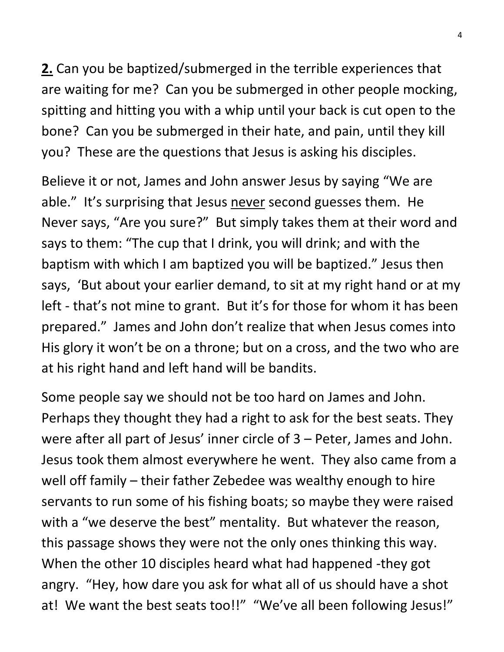**2.** Can you be baptized/submerged in the terrible experiences that are waiting for me? Can you be submerged in other people mocking, spitting and hitting you with a whip until your back is cut open to the bone? Can you be submerged in their hate, and pain, until they kill you? These are the questions that Jesus is asking his disciples.

Believe it or not, James and John answer Jesus by saying "We are able." It's surprising that Jesus never second guesses them. He Never says, "Are you sure?" But simply takes them at their word and says to them: "The cup that I drink, you will drink; and with the baptism with which I am baptized you will be baptized." Jesus then says, 'But about your earlier demand, to sit at my right hand or at my left - that's not mine to grant. But it's for those for whom it has been prepared." James and John don't realize that when Jesus comes into His glory it won't be on a throne; but on a cross, and the two who are at his right hand and left hand will be bandits.

Some people say we should not be too hard on James and John. Perhaps they thought they had a right to ask for the best seats. They were after all part of Jesus' inner circle of 3 – Peter, James and John. Jesus took them almost everywhere he went. They also came from a well off family – their father Zebedee was wealthy enough to hire servants to run some of his fishing boats; so maybe they were raised with a "we deserve the best" mentality. But whatever the reason, this passage shows they were not the only ones thinking this way. When the other 10 disciples heard what had happened -they got angry. "Hey, how dare you ask for what all of us should have a shot at! We want the best seats too!!" "We've all been following Jesus!"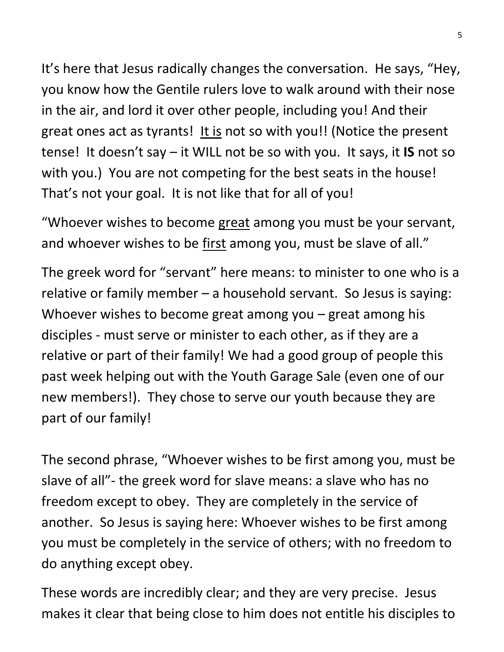It's here that Jesus radically changes the conversation. He says, "Hey, you know how the Gentile rulers love to walk around with their nose in the air, and lord it over other people, including you! And their great ones act as tyrants! It is not so with you!! (Notice the present tense! It doesn't say – it WILL not be so with you. It says, it **IS** not so with you.) You are not competing for the best seats in the house! That's not your goal. It is not like that for all of you!

"Whoever wishes to become great among you must be your servant, and whoever wishes to be first among you, must be slave of all."

The greek word for "servant" here means: to minister to one who is a relative or family member – a household servant. So Jesus is saying: Whoever wishes to become great among you – great among his disciples - must serve or minister to each other, as if they are a relative or part of their family! We had a good group of people this past week helping out with the Youth Garage Sale (even one of our new members!). They chose to serve our youth because they are part of our family!

The second phrase, "Whoever wishes to be first among you, must be slave of all"- the greek word for slave means: a slave who has no freedom except to obey. They are completely in the service of another. So Jesus is saying here: Whoever wishes to be first among you must be completely in the service of others; with no freedom to do anything except obey.

These words are incredibly clear; and they are very precise. Jesus makes it clear that being close to him does not entitle his disciples to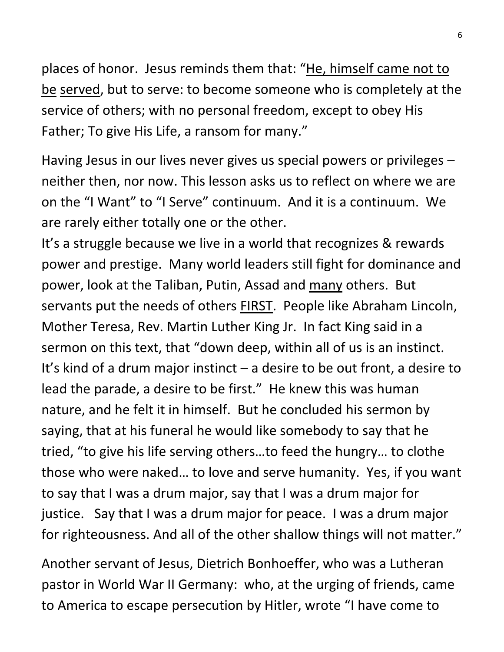places of honor. Jesus reminds them that: "He, himself came not to be served, but to serve: to become someone who is completely at the service of others; with no personal freedom, except to obey His Father; To give His Life, a ransom for many."

Having Jesus in our lives never gives us special powers or privileges – neither then, nor now. This lesson asks us to reflect on where we are on the "I Want" to "I Serve" continuum. And it is a continuum. We are rarely either totally one or the other.

It's a struggle because we live in a world that recognizes & rewards power and prestige. Many world leaders still fight for dominance and power, look at the Taliban, Putin, Assad and many others. But servants put the needs of others FIRST. People like Abraham Lincoln, Mother Teresa, Rev. Martin Luther King Jr. In fact King said in a sermon on this text, that "down deep, within all of us is an instinct. It's kind of a drum major instinct – a desire to be out front, a desire to lead the parade, a desire to be first." He knew this was human nature, and he felt it in himself. But he concluded his sermon by saying, that at his funeral he would like somebody to say that he tried, "to give his life serving others…to feed the hungry… to clothe those who were naked… to love and serve humanity. Yes, if you want to say that I was a drum major, say that I was a drum major for justice. Say that I was a drum major for peace. I was a drum major for righteousness. And all of the other shallow things will not matter."

Another servant of Jesus, Dietrich Bonhoeffer, who was a Lutheran pastor in World War II Germany: who, at the urging of friends, came to America to escape persecution by Hitler, wrote "I have come to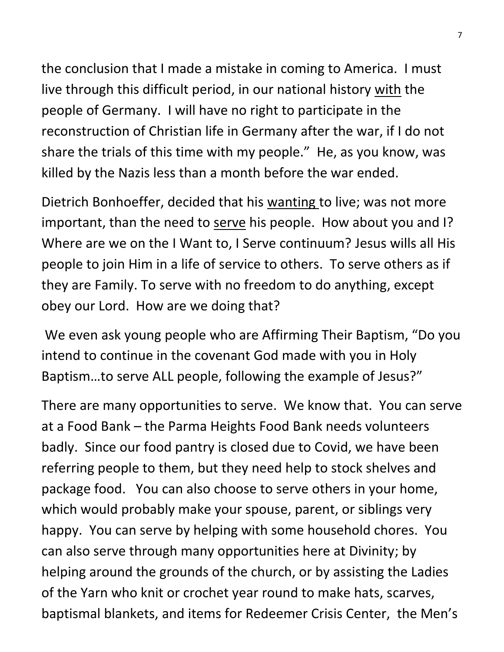the conclusion that I made a mistake in coming to America. I must live through this difficult period, in our national history with the people of Germany. I will have no right to participate in the reconstruction of Christian life in Germany after the war, if I do not share the trials of this time with my people." He, as you know, was killed by the Nazis less than a month before the war ended.

Dietrich Bonhoeffer, decided that his wanting to live; was not more important, than the need to serve his people. How about you and I? Where are we on the I Want to, I Serve continuum? Jesus wills all His people to join Him in a life of service to others. To serve others as if they are Family. To serve with no freedom to do anything, except obey our Lord. How are we doing that?

We even ask young people who are Affirming Their Baptism, "Do you intend to continue in the covenant God made with you in Holy Baptism…to serve ALL people, following the example of Jesus?"

There are many opportunities to serve. We know that. You can serve at a Food Bank – the Parma Heights Food Bank needs volunteers badly. Since our food pantry is closed due to Covid, we have been referring people to them, but they need help to stock shelves and package food. You can also choose to serve others in your home, which would probably make your spouse, parent, or siblings very happy. You can serve by helping with some household chores. You can also serve through many opportunities here at Divinity; by helping around the grounds of the church, or by assisting the Ladies of the Yarn who knit or crochet year round to make hats, scarves, baptismal blankets, and items for Redeemer Crisis Center, the Men's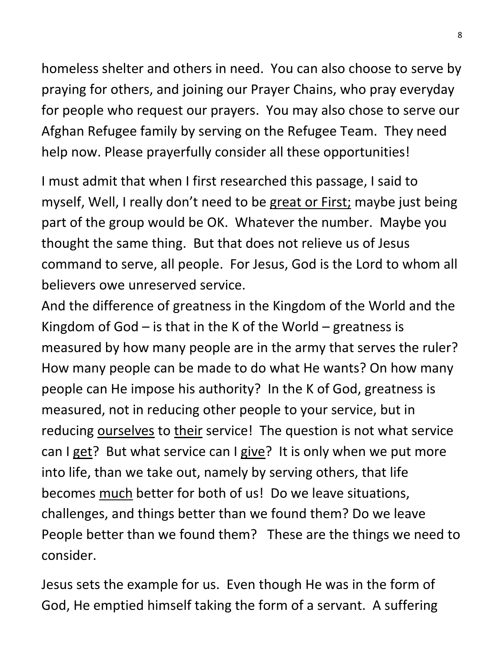homeless shelter and others in need. You can also choose to serve by praying for others, and joining our Prayer Chains, who pray everyday for people who request our prayers. You may also chose to serve our Afghan Refugee family by serving on the Refugee Team. They need help now. Please prayerfully consider all these opportunities!

I must admit that when I first researched this passage, I said to myself, Well, I really don't need to be great or First; maybe just being part of the group would be OK. Whatever the number. Maybe you thought the same thing. But that does not relieve us of Jesus command to serve, all people. For Jesus, God is the Lord to whom all believers owe unreserved service.

And the difference of greatness in the Kingdom of the World and the Kingdom of God  $-$  is that in the K of the World  $-$  greatness is measured by how many people are in the army that serves the ruler? How many people can be made to do what He wants? On how many people can He impose his authority? In the K of God, greatness is measured, not in reducing other people to your service, but in reducing ourselves to their service! The question is not what service can I get? But what service can I give? It is only when we put more into life, than we take out, namely by serving others, that life becomes much better for both of us! Do we leave situations, challenges, and things better than we found them? Do we leave People better than we found them? These are the things we need to consider.

Jesus sets the example for us. Even though He was in the form of God, He emptied himself taking the form of a servant. A suffering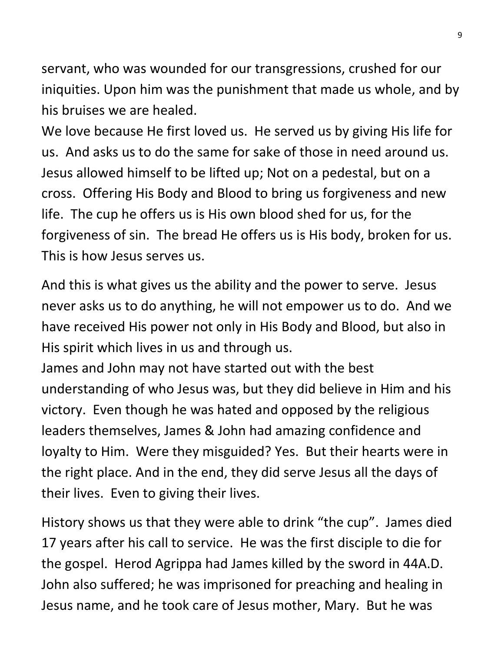servant, who was wounded for our transgressions, crushed for our iniquities. Upon him was the punishment that made us whole, and by his bruises we are healed.

We love because He first loved us. He served us by giving His life for us. And asks us to do the same for sake of those in need around us. Jesus allowed himself to be lifted up; Not on a pedestal, but on a cross. Offering His Body and Blood to bring us forgiveness and new life. The cup he offers us is His own blood shed for us, for the forgiveness of sin. The bread He offers us is His body, broken for us. This is how Jesus serves us.

And this is what gives us the ability and the power to serve. Jesus never asks us to do anything, he will not empower us to do. And we have received His power not only in His Body and Blood, but also in His spirit which lives in us and through us.

James and John may not have started out with the best understanding of who Jesus was, but they did believe in Him and his victory. Even though he was hated and opposed by the religious leaders themselves, James & John had amazing confidence and loyalty to Him. Were they misguided? Yes. But their hearts were in the right place. And in the end, they did serve Jesus all the days of their lives. Even to giving their lives.

History shows us that they were able to drink "the cup". James died 17 years after his call to service. He was the first disciple to die for the gospel. Herod Agrippa had James killed by the sword in 44A.D. John also suffered; he was imprisoned for preaching and healing in Jesus name, and he took care of Jesus mother, Mary. But he was